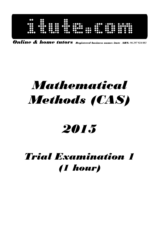| 80<br><br>። | ះ<br>$\bullet\bullet$<br>$\bullet$<br>å<br>ao e | $\bullet\bullet$<br>$\bullet$<br>$\bullet$<br>. 0000 | 38<br>$\bullet\bullet\bullet\bullet$<br>$\bullet$<br><br>$\bullet\bullet\bullet$ | $\cdots$<br>$\bullet\bullet$<br>$\bullet\bullet$<br>$\bullet \bullet \bullet \bullet \bullet$<br><br>$-0000$ $-00$ $-000$ | $\bullet$ $\bullet$<br>$\bullet\bullet\bullet$ | $\cdots$<br>$\bullet\bullet\bullet$<br>$\overline{\mathbf{C}}$<br>$\bullet\bullet\bullet$ | $\bullet$<br>$\mathbf{r}$<br>$\mathbf{u}$<br>œ<br>00 | $\cdot\cdot\cdot\cdot\cdot\cdot\cdot\cdot\cdot$<br><br>$\bullet \bullet$<br>٠<br>$\mathbf{C}$<br>œ<br>$\bullet\bullet$<br>$\bullet$<br>$\bullet$<br>$\bullet$ |  |  |
|-------------|-------------------------------------------------|------------------------------------------------------|----------------------------------------------------------------------------------|---------------------------------------------------------------------------------------------------------------------------|------------------------------------------------|-------------------------------------------------------------------------------------------|------------------------------------------------------|---------------------------------------------------------------------------------------------------------------------------------------------------------------|--|--|
|-------------|-------------------------------------------------|------------------------------------------------------|----------------------------------------------------------------------------------|---------------------------------------------------------------------------------------------------------------------------|------------------------------------------------|-------------------------------------------------------------------------------------------|------------------------------------------------------|---------------------------------------------------------------------------------------------------------------------------------------------------------------|--|--|

Online & home tutors Registered business name: itute ABN: *96 297 924 083* 

# Mathematical Methods (CAS)

# 2015

# Trial Examination 1 (1 hour)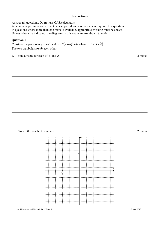#### **Instructions**

Answer **all** questions. Do **not** use CAS/calculators.

A decimal approximation will not be accepted if an **exact** answer is required to a question. In questions where more than one mark is available, appropriate working must be shown. Unless otherwise indicated, the diagrams in this exam are **not** drawn to scale.

# **Question 1**

Consider the parabolas  $y = -x^2$  and  $y = 2(x - a)^2 + b$  where  $a, b \in R \setminus \{0\}$ . The two parabolas *touch* each other

a. Find a value for each of *a* and *b* . 2 marks

b. Sketch the graph of *b* versus *a* . 2 marks

 $\ddotsc$  $\sim$  $\dddot{a}$ ۰  $\frac{1}{2}$  $\overline{\mathbf{0}}$ 5 ų  $\ddotsc$  $\cdots$ .:............  $\cdots$  $\cdots$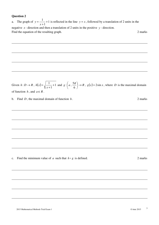a. The graph of  $y = \frac{1}{\cdot} + 1$ 1  $\frac{1}{1}$ + + = *x*  $y = \frac{1}{x} + 1$  is reflected in the line  $y = x$ , followed by a translation of 2 units in the negative *x* - direction and then a translation of 2 units in the positive *y* - direction. Find the equation of the resulting graph. 2 marks 2 marks

Given  $h: D \to R$ ,  $h(x) = \sqrt{\frac{1}{x^2} + 1}$ 1  $\frac{1}{2}$ + + = *x*  $h(x) = \sqrt{\frac{1}{x}} + 1$  and  $g: a \neq 0$ J  $\left(a,\frac{5\pi}{6}\right)$ l ſ 6  $\therefore (a, \frac{5\pi}{6}) \rightarrow R$ ,  $g(x) = 2\sin x$ , where *D* is the maximal domain of function  $h$ , and  $a \in R$ .

b. Find  $D$ , the maximal domain of function  $h$ . 2 marks

c. Find the minimum value of *a* such that  $h \circ g$  is defined. 2 marks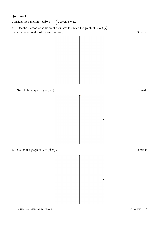Consider the function  $f(x)$ *e*  $f(x) = e^{-x} - \frac{x}{x}$ , given  $e \approx 2.7$ .

a. Use the method of addition of ordinates to sketch the graph of  $y = f(x)$ . Show the coordinates of the axis-intercepts. 3 marks

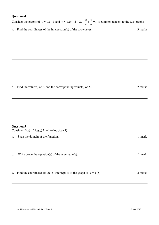|    | Consider the graphs of $y = \sqrt{x-1}$ and $y = \sqrt{2x+2} - 2$ . $\frac{x}{a} + \frac{y}{b} = 1$ is common tangent to the two graphs. |         |
|----|------------------------------------------------------------------------------------------------------------------------------------------|---------|
| a. | Find the coordinates of the intersection(s) of the two curves.                                                                           | 3 marks |
|    |                                                                                                                                          |         |
|    |                                                                                                                                          |         |
|    |                                                                                                                                          |         |
|    |                                                                                                                                          |         |
|    |                                                                                                                                          |         |
|    | b. Find the value(s) of $a$ and the corresponding value(s) of $b$ .                                                                      | 2 marks |
|    |                                                                                                                                          |         |
|    |                                                                                                                                          |         |
|    |                                                                                                                                          |         |
|    | <b>Question 5</b>                                                                                                                        |         |
|    | Consider $f(x) = 2\log_{10}(2x-1) - \log_{10}(x+1)$ .                                                                                    |         |
| a. | State the domain of the function.                                                                                                        | 1 mark  |
| b. | Write down the equation(s) of the asymptote(s).                                                                                          | 1 mark  |
|    |                                                                                                                                          |         |
| c. | Find the coordinates of the x-intercept(s) of the graph of $y = f(x)$ .                                                                  | 2 marks |
|    |                                                                                                                                          |         |
|    |                                                                                                                                          |         |
|    |                                                                                                                                          |         |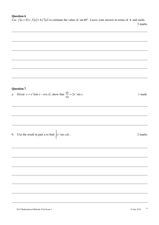Use  $f(a+h) \approx f(a) + hf'(a)$  to estimate the value of sin 46°. Leave your answer in terms of  $\pi$  and surds. 3 marks

# **Question 7**

a. Given  $y = e^x(\sin x - \cos x)$ , show that  $\frac{dy}{dx} = 2e^x \sin x$ *dx*  $\frac{dy}{dx} = 2e^x \sin x$ . 1 mark

b. Use the result in part a to find  $\int_a^3$ 0  $e^x$  sin *x dx* 

π

. 2 marks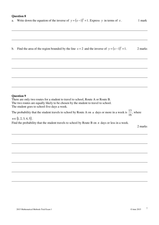a. Write down the equation of the inverse of  $y = (x-1)^2 + 1$ . Express *y* in terms of *x*. 1 mark

b. Find the area of the region bounded by the line  $x = 2$  and the inverse of  $y = (x-1)^2 + 1$ . 2 marks

#### **Question 9**

There are only two routes for a student to travel to school, Route A or Route B. The two routes are equally likely to be chosen by the student to travel to school. The student goes to school five days a week.

The probability that the student travels to school by Route A on *n* days or more in a week is 16  $\frac{13}{16}$ , where

 $n \in \{1, 2, 3, 4, 5\}.$ Find the probability that the student travels to school by Route B on *n* days or less in a week.

2 marks